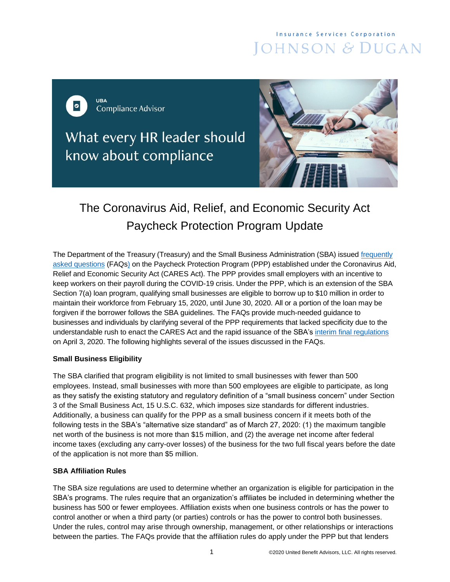# **Insurance Services Corporation** JOHNSON & DUGAN

URA  $\bullet$ **Compliance Advisor** 

What every HR leader should know about compliance



# The Coronavirus Aid, Relief, and Economic Security Act Paycheck Protection Program Update

The Department of the Treasury (Treasury) and the Small Business Administration (SBA) issued [frequently](https://home.treasury.gov/system/files/136/Paycheck-Protection-Program-Frequently-Asked-Questions.pdf)  [asked questions](https://home.treasury.gov/system/files/136/Paycheck-Protection-Program-Frequently-Asked-Questions.pdf) (FAQs) on the Paycheck Protection Program (PPP) established under the Coronavirus Aid, Relief and Economic Security Act (CARES Act). The PPP provides small employers with an incentive to keep workers on their payroll during the COVID-19 crisis. Under the PPP, which is an extension of the SBA Section 7(a) loan program, qualifying small businesses are eligible to borrow up to \$10 million in order to maintain their workforce from February 15, 2020, until June 30, 2020. All or a portion of the loan may be forgiven if the borrower follows the SBA guidelines. The FAQs provide much-needed guidance to businesses and individuals by clarifying several of the PPP requirements that lacked specificity due to the understandable rush to enact the CARES Act and the rapid issuance of the SBA's [interim final regulations](https://home.treasury.gov/system/files/136/PPP--IFRN%20FINAL.pdf) on April 3, 2020. The following highlights several of the issues discussed in the FAQs.

# **Small Business Eligibility**

The SBA clarified that program eligibility is not limited to small businesses with fewer than 500 employees. Instead, small businesses with more than 500 employees are eligible to participate, as long as they satisfy the existing statutory and regulatory definition of a "small business concern" under Section 3 of the Small Business Act, 15 U.S.C. 632, which imposes size standards for different industries. Additionally, a business can qualify for the PPP as a small business concern if it meets both of the following tests in the SBA's "alternative size standard" as of March 27, 2020: (1) the maximum tangible net worth of the business is not more than \$15 million, and (2) the average net income after federal income taxes (excluding any carry-over losses) of the business for the two full fiscal years before the date of the application is not more than \$5 million.

# **SBA Affiliation Rules**

The SBA size regulations are used to determine whether an organization is eligible for participation in the SBA's programs. The rules require that an organization's affiliates be included in determining whether the business has 500 or fewer employees. Affiliation exists when one business controls or has the power to control another or when a third party (or parties) controls or has the power to control both businesses. Under the rules, control may arise through ownership, management, or other relationships or interactions between the parties. The FAQs provide that the affiliation rules do apply under the PPP but that lenders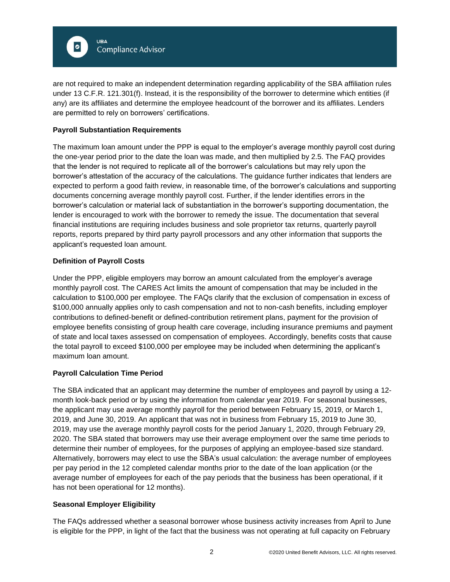

are not required to make an independent determination regarding applicability of the SBA affiliation rules under 13 C.F.R. 121.301(f). Instead, it is the responsibility of the borrower to determine which entities (if any) are its affiliates and determine the employee headcount of the borrower and its affiliates. Lenders are permitted to rely on borrowers' certifications.

# **Payroll Substantiation Requirements**

The maximum loan amount under the PPP is equal to the employer's average monthly payroll cost during the one-year period prior to the date the loan was made, and then multiplied by 2.5. The FAQ provides that the lender is not required to replicate all of the borrower's calculations but may rely upon the borrower's attestation of the accuracy of the calculations. The guidance further indicates that lenders are expected to perform a good faith review, in reasonable time, of the borrower's calculations and supporting documents concerning average monthly payroll cost. Further, if the lender identifies errors in the borrower's calculation or material lack of substantiation in the borrower's supporting documentation, the lender is encouraged to work with the borrower to remedy the issue. The documentation that several financial institutions are requiring includes business and sole proprietor tax returns, quarterly payroll reports, reports prepared by third party payroll processors and any other information that supports the applicant's requested loan amount.

#### **Definition of Payroll Costs**

Under the PPP, eligible employers may borrow an amount calculated from the employer's average monthly payroll cost. The CARES Act limits the amount of compensation that may be included in the calculation to \$100,000 per employee. The FAQs clarify that the exclusion of compensation in excess of \$100,000 annually applies only to cash compensation and not to non-cash benefits, including employer contributions to defined-benefit or defined-contribution retirement plans, payment for the provision of employee benefits consisting of group health care coverage, including insurance premiums and payment of state and local taxes assessed on compensation of employees. Accordingly, benefits costs that cause the total payroll to exceed \$100,000 per employee may be included when determining the applicant's maximum loan amount.

#### **Payroll Calculation Time Period**

The SBA indicated that an applicant may determine the number of employees and payroll by using a 12 month look-back period or by using the information from calendar year 2019. For seasonal businesses, the applicant may use average monthly payroll for the period between February 15, 2019, or March 1, 2019, and June 30, 2019. An applicant that was not in business from February 15, 2019 to June 30, 2019, may use the average monthly payroll costs for the period January 1, 2020, through February 29, 2020. The SBA stated that borrowers may use their average employment over the same time periods to determine their number of employees, for the purposes of applying an employee-based size standard. Alternatively, borrowers may elect to use the SBA's usual calculation: the average number of employees per pay period in the 12 completed calendar months prior to the date of the loan application (or the average number of employees for each of the pay periods that the business has been operational, if it has not been operational for 12 months).

#### **Seasonal Employer Eligibility**

The FAQs addressed whether a seasonal borrower whose business activity increases from April to June is eligible for the PPP, in light of the fact that the business was not operating at full capacity on February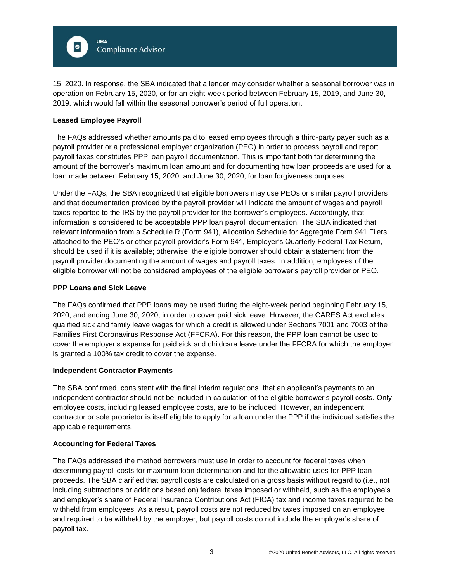

15, 2020. In response, the SBA indicated that a lender may consider whether a seasonal borrower was in operation on February 15, 2020, or for an eight-week period between February 15, 2019, and June 30, 2019, which would fall within the seasonal borrower's period of full operation.

## **Leased Employee Payroll**

The FAQs addressed whether amounts paid to leased employees through a third-party payer such as a payroll provider or a professional employer organization (PEO) in order to process payroll and report payroll taxes constitutes PPP loan payroll documentation. This is important both for determining the amount of the borrower's maximum loan amount and for documenting how loan proceeds are used for a loan made between February 15, 2020, and June 30, 2020, for loan forgiveness purposes.

Under the FAQs, the SBA recognized that eligible borrowers may use PEOs or similar payroll providers and that documentation provided by the payroll provider will indicate the amount of wages and payroll taxes reported to the IRS by the payroll provider for the borrower's employees. Accordingly, that information is considered to be acceptable PPP loan payroll documentation. The SBA indicated that relevant information from a Schedule R (Form 941), Allocation Schedule for Aggregate Form 941 Filers, attached to the PEO's or other payroll provider's Form 941, Employer's Quarterly Federal Tax Return, should be used if it is available; otherwise, the eligible borrower should obtain a statement from the payroll provider documenting the amount of wages and payroll taxes. In addition, employees of the eligible borrower will not be considered employees of the eligible borrower's payroll provider or PEO.

#### **PPP Loans and Sick Leave**

The FAQs confirmed that PPP loans may be used during the eight-week period beginning February 15, 2020, and ending June 30, 2020, in order to cover paid sick leave. However, the CARES Act excludes qualified sick and family leave wages for which a credit is allowed under Sections 7001 and 7003 of the Families First Coronavirus Response Act (FFCRA). For this reason, the PPP loan cannot be used to cover the employer's expense for paid sick and childcare leave under the FFCRA for which the employer is granted a 100% tax credit to cover the expense.

#### **Independent Contractor Payments**

The SBA confirmed, consistent with the final interim regulations, that an applicant's payments to an independent contractor should not be included in calculation of the eligible borrower's payroll costs. Only employee costs, including leased employee costs, are to be included. However, an independent contractor or sole proprietor is itself eligible to apply for a loan under the PPP if the individual satisfies the applicable requirements.

#### **Accounting for Federal Taxes**

The FAQs addressed the method borrowers must use in order to account for federal taxes when determining payroll costs for maximum loan determination and for the allowable uses for PPP loan proceeds. The SBA clarified that payroll costs are calculated on a gross basis without regard to (i.e., not including subtractions or additions based on) federal taxes imposed or withheld, such as the employee's and employer's share of Federal Insurance Contributions Act (FICA) tax and income taxes required to be withheld from employees. As a result, payroll costs are not reduced by taxes imposed on an employee and required to be withheld by the employer, but payroll costs do not include the employer's share of payroll tax.